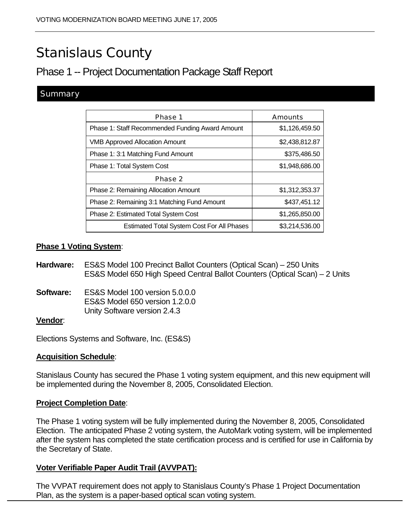# Stanislaus County

# Phase 1 -- Project Documentation Package Staff Report

#### **Summary**

| Phase 1                                           | <b>Amounts</b> |
|---------------------------------------------------|----------------|
| Phase 1: Staff Recommended Funding Award Amount   | \$1,126,459.50 |
| <b>VMB Approved Allocation Amount</b>             | \$2,438,812.87 |
| Phase 1: 3:1 Matching Fund Amount                 | \$375,486.50   |
| Phase 1: Total System Cost                        | \$1,948,686.00 |
| Phase 2                                           |                |
| Phase 2: Remaining Allocation Amount              | \$1,312,353.37 |
| Phase 2: Remaining 3:1 Matching Fund Amount       | \$437,451.12   |
| Phase 2: Estimated Total System Cost              | \$1,265,850.00 |
| <b>Estimated Total System Cost For All Phases</b> | \$3,214,536.00 |

#### **Phase 1 Voting System**:

**Hardware:** ES&S Model 100 Precinct Ballot Counters (Optical Scan) – 250 Units ES&S Model 650 High Speed Central Ballot Counters (Optical Scan) – 2 Units

**Software:** ES&S Model 100 version 5.0.0.0 ES&S Model 650 version 1.2.0.0 Unity Software version 2.4.3

#### **Vendor**:

Elections Systems and Software, Inc. (ES&S)

#### **Acquisition Schedule**:

Stanislaus County has secured the Phase 1 voting system equipment, and this new equipment will be implemented during the November 8, 2005, Consolidated Election.

#### **Project Completion Date**:

The Phase 1 voting system will be fully implemented during the November 8, 2005, Consolidated Election. The anticipated Phase 2 voting system, the AutoMark voting system, will be implemented after the system has completed the state certification process and is certified for use in California by the Secretary of State.

#### **Voter Verifiable Paper Audit Trail (AVVPAT):**

The VVPAT requirement does not apply to Stanislaus County's Phase 1 Project Documentation Plan, as the system is a paper-based optical scan voting system.